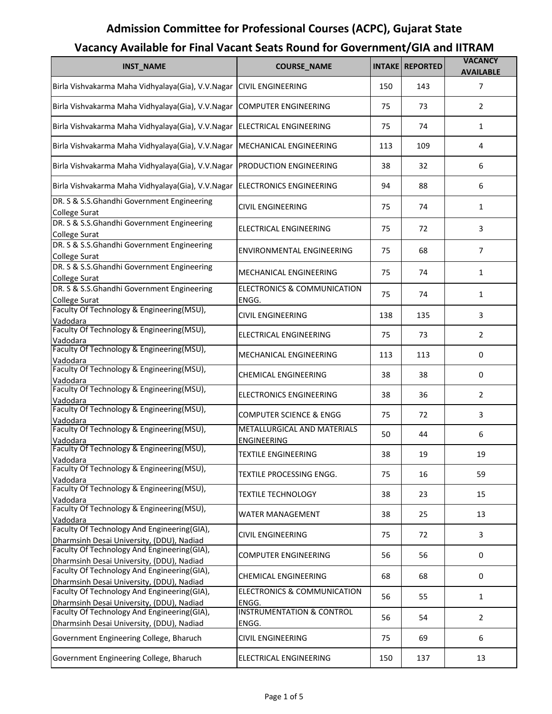| <b>INST_NAME</b>                                                                         | <b>COURSE_NAME</b>                                | <b>INTAKE</b> | <b>REPORTED</b> | <b>VACANCY</b><br><b>AVAILABLE</b> |
|------------------------------------------------------------------------------------------|---------------------------------------------------|---------------|-----------------|------------------------------------|
| Birla Vishvakarma Maha Vidhyalaya(Gia), V.V.Nagar CIVIL ENGINEERING                      |                                                   | 150           | 143             | 7                                  |
| Birla Vishvakarma Maha Vidhyalaya(Gia), V.V.Nagar                                        | <b>COMPUTER ENGINEERING</b>                       | 75            | 73              | 2                                  |
| Birla Vishvakarma Maha Vidhyalaya(Gia), V.V.Nagar                                        | <b>ELECTRICAL ENGINEERING</b>                     | 75            | 74              | $\mathbf{1}$                       |
| Birla Vishvakarma Maha Vidhyalaya(Gia), V.V.Nagar                                        | MECHANICAL ENGINEERING                            | 113           | 109             | $\overline{4}$                     |
| Birla Vishvakarma Maha Vidhyalaya(Gia), V.V.Nagar                                        | <b>PRODUCTION ENGINEERING</b>                     | 38            | 32              | 6                                  |
| Birla Vishvakarma Maha Vidhyalaya(Gia), V.V.Nagar                                        | <b>ELECTRONICS ENGINEERING</b>                    | 94            | 88              | 6                                  |
| DR. S & S.S.Ghandhi Government Engineering<br><b>College Surat</b>                       | <b>CIVIL ENGINEERING</b>                          | 75            | 74              | $\mathbf{1}$                       |
| DR. S & S.S.Ghandhi Government Engineering<br>College Surat                              | ELECTRICAL ENGINEERING                            | 75            | 72              | 3                                  |
| DR. S & S.S.Ghandhi Government Engineering<br><b>College Surat</b>                       | ENVIRONMENTAL ENGINEERING                         | 75            | 68              | $\overline{7}$                     |
| DR. S & S.S.Ghandhi Government Engineering<br><b>College Surat</b>                       | MECHANICAL ENGINEERING                            | 75            | 74              | $\mathbf{1}$                       |
| DR. S & S.S.Ghandhi Government Engineering                                               | <b>ELECTRONICS &amp; COMMUNICATION</b><br>ENGG.   | 75            | 74              | $\mathbf{1}$                       |
| <b>College Surat</b><br>Faculty Of Technology & Engineering(MSU),                        | <b>CIVIL ENGINEERING</b>                          | 138           | 135             | 3                                  |
| Vadodara<br>Faculty Of Technology & Engineering(MSU),<br>Vadodara                        | <b>ELECTRICAL ENGINEERING</b>                     | 75            | 73              | $\overline{2}$                     |
| Faculty Of Technology & Engineering(MSU),<br>Vadodara                                    | MECHANICAL ENGINEERING                            | 113           | 113             | 0                                  |
| Faculty Of Technology & Engineering(MSU),<br>Vadodara                                    | <b>CHEMICAL ENGINEERING</b>                       | 38            | 38              | 0                                  |
| Faculty Of Technology & Engineering(MSU),<br>Vadodara                                    | ELECTRONICS ENGINEERING                           | 38            | 36              | $\overline{2}$                     |
| Faculty Of Technology & Engineering(MSU),<br>Vadodara                                    | <b>COMPUTER SCIENCE &amp; ENGG</b>                | 75            | 72              | 3                                  |
| Faculty Of Technology & Engineering(MSU),<br>Vadodara                                    | METALLURGICAL AND MATERIALS<br><b>ENGINEERING</b> | 50            | 44              | 6                                  |
| Faculty Of Technology & Engineering(MSU),<br>Vadodara                                    | <b>TEXTILE ENGINEERING</b>                        | 38            | 19              | 19                                 |
| Faculty Of Technology & Engineering(MSU),<br>Vadodara                                    | TEXTILE PROCESSING ENGG.                          | 75            | 16              | 59                                 |
| Faculty Of Technology & Engineering(MSU),<br>Vadodara                                    | <b>TEXTILE TECHNOLOGY</b>                         | 38            | 23              | 15                                 |
| Faculty Of Technology & Engineering(MSU),<br>Vadodara                                    | <b>WATER MANAGEMENT</b>                           | 38            | 25              | 13                                 |
| Faculty Of Technology And Engineering(GIA),<br>Dharmsinh Desai University, (DDU), Nadiad | <b>CIVIL ENGINEERING</b>                          | 75            | 72              | 3                                  |
| Faculty Of Technology And Engineering(GIA),<br>Dharmsinh Desai University, (DDU), Nadiad | <b>COMPUTER ENGINEERING</b>                       | 56            | 56              | 0                                  |
| Faculty Of Technology And Engineering(GIA),<br>Dharmsinh Desai University, (DDU), Nadiad | <b>CHEMICAL ENGINEERING</b>                       | 68            | 68              | 0                                  |
| Faculty Of Technology And Engineering(GIA),<br>Dharmsinh Desai University, (DDU), Nadiad | ELECTRONICS & COMMUNICATION<br>ENGG.              | 56            | 55              | $\mathbf{1}$                       |
| Faculty Of Technology And Engineering(GIA),                                              | <b>INSTRUMENTATION &amp; CONTROL</b>              | 56            | 54              | $\overline{2}$                     |
| Dharmsinh Desai University, (DDU), Nadiad<br>Government Engineering College, Bharuch     | ENGG.<br><b>CIVIL ENGINEERING</b>                 | 75            | 69              | 6                                  |
| Government Engineering College, Bharuch                                                  | ELECTRICAL ENGINEERING                            | 150           | 137             | 13                                 |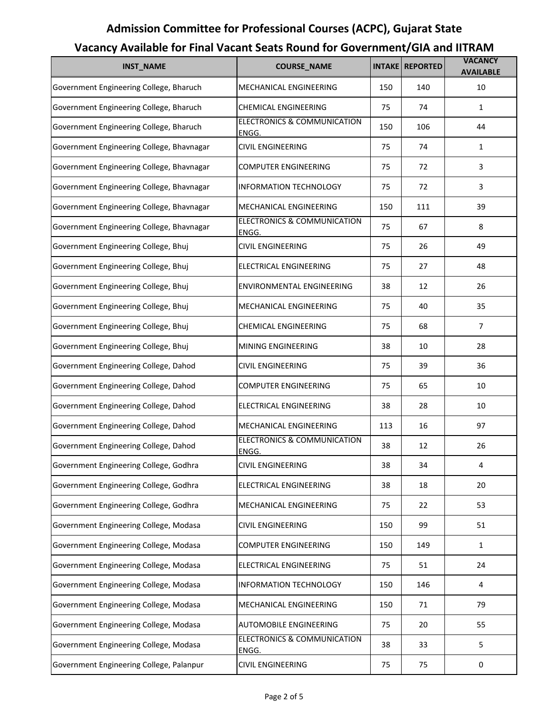### **INST\_NAME COURSE\_NAME INTAKE REPORTED VACANCY AVAILABLE** Government Engineering College, Bharuch MECHANICAL ENGINEERING 150 150 140 10 Government Engineering College, Bharuch CHEMICAL ENGINEERING 75 | 74 | 1 Government Engineering College, Bharuch ELECTRONICS & COMMUNICATION ENGG. 150 106 44 Government Engineering College, Bhavnagar | CIVIL ENGINEERING | 75 | 74 | 1 Government Engineering College, Bhavnagar (COMPUTER ENGINEERING | 75 | 72 | 3 Government Engineering College, Bhavnagar | INFORMATION TECHNOLOGY | 75 | 72 | 3 Government Engineering College, Bhavnagar MECHANICAL ENGINEERING 150 111 1 Government Engineering College, Bhavnagar **ELECTRONICS & COMMUNICATION ENGG** 75 67 8 Government Engineering College, Bhuj CIVIL ENGINEERING 75 | 26 | 49 Government Engineering College, Bhuj **ELECTRICAL ENGINEERING** 75 75 27 48 Government Engineering College, Bhuj **ENVIRONMENTAL ENGINEERING** | 38 | 12 | 26 Government Engineering College, Bhuj MECHANICAL ENGINEERING | 75 | 40 | 35 Government Engineering College, Bhuj CHEMICAL ENGINEERING 75 | 68 | 7 Government Engineering College, Bhuj MINING ENGINEERING | 38 | 10 | 28 Government Engineering College, Dahod CIVIL ENGINEERING 75 39 36 Government Engineering College, Dahod COMPUTER ENGINEERING | 75 | 65 | 10 Government Engineering College, Dahod ELECTRICAL ENGINEERING | 38 | 28 | 10 Government Engineering College, Dahod MECHANICAL ENGINEERING 113 16 16 97 Government Engineering College, Dahod ELECTRONICS & COMMUNICATION **ENGG** 38 12 26 Government Engineering College, Godhra (CIVIL ENGINEERING | 38 | 34 | 4 Government Engineering College, Godhra | ELECTRICAL ENGINEERING | 38 | 18 | 20 Government Engineering College, Godhra MECHANICAL ENGINEERING | 75 | 22 | 53 Government Engineering College, Modasa 
CIVIL ENGINEERING

Latin and the set of the set of the set of the set of the set of the set of the set of the set of the set of the set of the set of the set of the set of the set o Government Engineering College, Modasa COMPUTER ENGINEERING 150 149 1 Government Engineering College, Modasa ELECTRICAL ENGINEERING | 75 | 51 | 24 Government Engineering College, Modasa | INFORMATION TECHNOLOGY | 150 | 146 | 4 Government Engineering College, Modasa MECHANICAL ENGINEERING | 150 | 71 | 79 Government Engineering College, Modasa AUTOMOBILE ENGINEERING | 75 | 20 | 55 Government Engineering College, Modasa ELECTRONICS & COMMUNICATION **ENGG** 38 33 5 Government Engineering College, Palanpur | CIVIL ENGINEERING | 75 | 75 | 0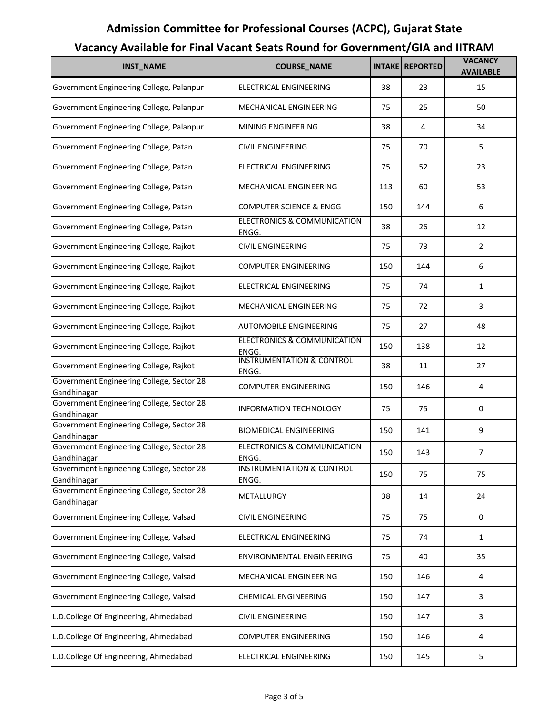| <b>INST_NAME</b>                                                        | <b>COURSE_NAME</b>                                     | <b>INTAKE</b> | <b>REPORTED</b> | <b>VACANCY</b><br><b>AVAILABLE</b> |
|-------------------------------------------------------------------------|--------------------------------------------------------|---------------|-----------------|------------------------------------|
| Government Engineering College, Palanpur                                | ELECTRICAL ENGINEERING                                 | 38            | 23              | 15                                 |
| Government Engineering College, Palanpur                                | MECHANICAL ENGINEERING                                 | 75            | 25              | 50                                 |
| Government Engineering College, Palanpur                                | MINING ENGINEERING                                     | 38            | 4               | 34                                 |
| Government Engineering College, Patan                                   | CIVIL ENGINEERING                                      | 75            | 70              | 5                                  |
| Government Engineering College, Patan                                   | <b>ELECTRICAL ENGINEERING</b>                          | 75            | 52              | 23                                 |
| Government Engineering College, Patan                                   | MECHANICAL ENGINEERING                                 | 113           | 60              | 53                                 |
| Government Engineering College, Patan                                   | COMPUTER SCIENCE & ENGG                                | 150           | 144             | 6                                  |
| Government Engineering College, Patan                                   | <b>ELECTRONICS &amp; COMMUNICATION</b><br>ENGG.        | 38            | 26              | 12                                 |
| Government Engineering College, Rajkot                                  | <b>CIVIL ENGINEERING</b>                               | 75            | 73              | $\overline{2}$                     |
| Government Engineering College, Rajkot                                  | COMPUTER ENGINEERING                                   | 150           | 144             | 6                                  |
| Government Engineering College, Rajkot                                  | ELECTRICAL ENGINEERING                                 | 75            | 74              | $\mathbf{1}$                       |
| Government Engineering College, Rajkot                                  | MECHANICAL ENGINEERING                                 | 75            | 72              | 3                                  |
| Government Engineering College, Rajkot                                  | AUTOMOBILE ENGINEERING                                 | 75            | 27              | 48                                 |
| Government Engineering College, Rajkot                                  | <b>ELECTRONICS &amp; COMMUNICATION</b><br>ENGG.        | 150           | 138             | 12                                 |
| Government Engineering College, Rajkot                                  | <b>INSTRUMENTATION &amp; CONTROL</b><br>ENGG.          | 38            | 11              | 27                                 |
| Government Engineering College, Sector 28<br>Gandhinagar                | <b>COMPUTER ENGINEERING</b>                            | 150           | 146             | 4                                  |
| Government Engineering College, Sector 28<br>Gandhinagar                | <b>INFORMATION TECHNOLOGY</b>                          | 75            | 75              | 0                                  |
| Government Engineering College, Sector 28                               | <b>BIOMEDICAL ENGINEERING</b>                          | 150           | 141             | 9                                  |
| Gandhinagar<br>Government Engineering College, Sector 28                | ELECTRONICS & COMMUNICATION                            | 150           | 143             | 7                                  |
| Gandhinagar<br>Government Engineering College, Sector 28<br>Gandhinagar | ENGG.<br><b>INSTRUMENTATION &amp; CONTROL</b><br>ENGG. | 150           | 75              | 75                                 |
| Government Engineering College, Sector 28                               | METALLURGY                                             | 38            | 14              | 24                                 |
| Gandhinagar<br>Government Engineering College, Valsad                   | <b>CIVIL ENGINEERING</b>                               | 75            | 75              | 0                                  |
| Government Engineering College, Valsad                                  | ELECTRICAL ENGINEERING                                 | 75            | 74              | $\mathbf{1}$                       |
| Government Engineering College, Valsad                                  | ENVIRONMENTAL ENGINEERING                              | 75            | 40              | 35                                 |
| Government Engineering College, Valsad                                  | MECHANICAL ENGINEERING                                 | 150           | 146             | 4                                  |
| Government Engineering College, Valsad                                  | CHEMICAL ENGINEERING                                   | 150           | 147             | 3                                  |
| L.D.College Of Engineering, Ahmedabad                                   | CIVIL ENGINEERING                                      | 150           | 147             | $\mathbf{3}$                       |
| L.D.College Of Engineering, Ahmedabad                                   | COMPUTER ENGINEERING                                   | 150           | 146             | 4                                  |
| L.D.College Of Engineering, Ahmedabad                                   | ELECTRICAL ENGINEERING                                 | 150           | 145             | 5                                  |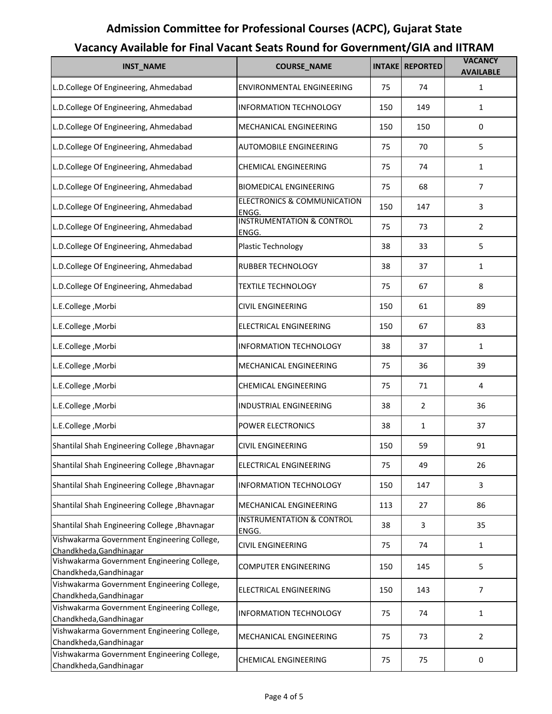#### **INST\_NAME COURSE\_NAME INTAKE REPORTED VACANCY AVAILABLE** L.D.College Of Engineering, Ahmedabad | ENVIRONMENTAL ENGINEERING | 75 | 74 | 1 L.D.College Of Engineering, Ahmedabad | INFORMATION TECHNOLOGY | 150 | 149 | 1 L.D.College Of Engineering, Ahmedabad MECHANICAL ENGINEERING 150 150 0 L.D.College Of Engineering, Ahmedabad AUTOMOBILE ENGINEERING 75 | 70 | 5 L.D.College Of Engineering, Ahmedabad CHEMICAL ENGINEERING 75 74 1 L.D.College Of Engineering, Ahmedabad BIOMEDICAL ENGINEERING 75 | 68 | 7 L.D.College Of Engineering, Ahmedabad ELECTRONICS & COMMUNICATION ENGG.<br>INSTRUMENTATION & CONTROL 150 147 3 L.D.College Of Engineering, Ahmedabad **ENGG** 75 73 2 L.D.College Of Engineering, Ahmedabad Plastic Technology 198 23 33 5 L.D.College Of Engineering, Ahmedabad RUBBER TECHNOLOGY | 38 | 37 | 1 L.D.College Of Engineering, Ahmedabad TEXTILE TECHNOLOGY | 75 | 67 | 8 L.E.College ,Morbi CIVIL ENGINEERING 150 61 89 L.E.College ,Morbi ELECTRICAL ENGINEERING 150 67 83 L.E.College ,Morbi INFORMATION TECHNOLOGY 38 37 1 L.E.College ,Morbi MECHANICAL ENGINEERING 75 36 39 L.E.College ,Morbi CHEMICAL ENGINEERING 75 71 4 L.E.College ,Morbi INDUSTRIAL ENGINEERING 38 2 36 L.E.College ,Morbi POWER ELECTRONICS 38 1 37 Shantilal Shah Engineering College ,Bhavnagar CIVIL ENGINEERING 150 159 59 91 Shantilal Shah Engineering College ,Bhavnagar ELECTRICAL ENGINEERING 75 | 49 | 26 Shantilal Shah Engineering College ,Bhavnagar | INFORMATION TECHNOLOGY | 150 | 147 | 3 Shantilal Shah Engineering College ,Bhavnagar | MECHANICAL ENGINEERING | 113 | 27 | 86 Shantilal Shah Engineering College ,Bhavnagar INSTRUMENTATION & CONTROL **ENGG** 38 3 35 Vishwakarma Government Engineering College, Chandkheda,Gandhinagar CIVIL ENGINEERING <sup>75</sup> <sup>74</sup> <sup>1</sup> Vishwakarma Government Engineering College, COMPUTER ENGINEERING 150 145 145 5 160 145 5 160 145 S Vishwakarma Government Engineering College, Chandkheda,Gandhinagar ELECTRICAL ENGINEERING <sup>150</sup> <sup>143</sup> <sup>7</sup> Vishwakarma Government Engineering College, Chandkheda,Gandhinagar **Information Chandkheda,Gandhinagar** 1 Vishwakarma Government Engineering College, VISHWARATHIA GOVETHINEHE ENGINEERING 2<br>Chandkheda,Gandhinagar 2 Vishwakarma Government Engineering College, Chandkheda,Gandhinagar CHEMICAL ENGINEERING <sup>75</sup> <sup>75</sup> <sup>0</sup>